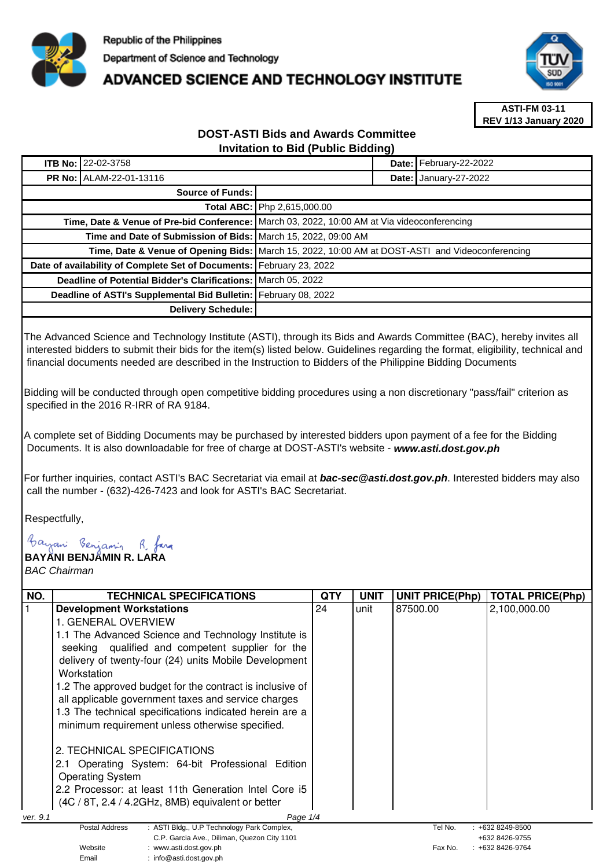

## **ADVANCED SCIENCE AND TECHNOLOGY INSTITUTE**



**ASTI-FM 03-11 REV 1/13 January 2020**

## **DOST-ASTI Bids and Awards Committee Invitation to Bid (Public Bidding)**

| ITB No: 22-02-3758                                                                              |                                                                                             |                             |  | Date: February-22-2022       |
|-------------------------------------------------------------------------------------------------|---------------------------------------------------------------------------------------------|-----------------------------|--|------------------------------|
| <b>PR No: ALAM-22-01-13116</b>                                                                  |                                                                                             |                             |  | <b>Date: January-27-2022</b> |
| <b>Source of Funds:</b>                                                                         |                                                                                             |                             |  |                              |
|                                                                                                 |                                                                                             | Total ABC: Php 2,615,000.00 |  |                              |
|                                                                                                 | Time, Date & Venue of Pre-bid Conference: March 03, 2022, 10:00 AM at Via videoconferencing |                             |  |                              |
|                                                                                                 | Time and Date of Submission of Bids: March 15, 2022, 09:00 AM                               |                             |  |                              |
| Time, Date & Venue of Opening Bids: March 15, 2022, 10:00 AM at DOST-ASTI and Videoconferencing |                                                                                             |                             |  |                              |
|                                                                                                 | Date of availability of Complete Set of Documents: February 23, 2022                        |                             |  |                              |
| Deadline of Potential Bidder's Clarifications: March 05, 2022                                   |                                                                                             |                             |  |                              |
| Deadline of ASTI's Supplemental Bid Bulletin: February 08, 2022                                 |                                                                                             |                             |  |                              |
|                                                                                                 | Delivery Schedule:                                                                          |                             |  |                              |

The Advanced Science and Technology Institute (ASTI), through its Bids and Awards Committee (BAC), hereby invites all interested bidders to submit their bids for the item(s) listed below. Guidelines regarding the format, eligibility, technical and financial documents needed are described in the Instruction to Bidders of the Philippine Bidding Documents

Bidding will be conducted through open competitive bidding procedures using a non discretionary "pass/fail" criterion as specified in the 2016 R-IRR of RA 9184.

A complete set of Bidding Documents may be purchased by interested bidders upon payment of a fee for the Bidding Documents. It is also downloadable for free of charge at DOST-ASTI's website - **www.asti.dost.gov.ph**

For further inquiries, contact ASTI's BAC Secretariat via email at **bac-sec@asti.dost.gov.ph**. Interested bidders may also call the number - (632)-426-7423 and look for ASTI's BAC Secretariat.

Respectfully,

Bayani Benjamin R. fara **BAYANI BENJAMIN R. LARA** 

Email : info@asti.dost.gov.ph

BAC Chairman

| NO.                                                                              | <b>TECHNICAL SPECIFICATIONS</b>                                     | QTY | UNIT | <b>UNIT PRICE(Php)</b> | TOTAL PRICE(Php)                      |
|----------------------------------------------------------------------------------|---------------------------------------------------------------------|-----|------|------------------------|---------------------------------------|
|                                                                                  | <b>Development Workstations</b>                                     | 24  | unit | 87500.00               | 2,100,000.00                          |
|                                                                                  | 1. GENERAL OVERVIEW                                                 |     |      |                        |                                       |
|                                                                                  | 1.1 The Advanced Science and Technology Institute is                |     |      |                        |                                       |
|                                                                                  | seeking qualified and competent supplier for the                    |     |      |                        |                                       |
|                                                                                  | delivery of twenty-four (24) units Mobile Development               |     |      |                        |                                       |
|                                                                                  | Workstation                                                         |     |      |                        |                                       |
|                                                                                  | 1.2 The approved budget for the contract is inclusive of            |     |      |                        |                                       |
|                                                                                  | all applicable government taxes and service charges                 |     |      |                        |                                       |
|                                                                                  | 1.3 The technical specifications indicated herein are a             |     |      |                        |                                       |
|                                                                                  | minimum requirement unless otherwise specified.                     |     |      |                        |                                       |
|                                                                                  | 2. TECHNICAL SPECIFICATIONS                                         |     |      |                        |                                       |
|                                                                                  | 2.1 Operating System: 64-bit Professional Edition                   |     |      |                        |                                       |
|                                                                                  | <b>Operating System</b>                                             |     |      |                        |                                       |
|                                                                                  | 2.2 Processor: at least 11th Generation Intel Core i5               |     |      |                        |                                       |
|                                                                                  | (4C / 8T, 2.4 / 4.2GHz, 8MB) equivalent or better                   |     |      |                        |                                       |
| Page 1/4<br>ver. 9.1                                                             |                                                                     |     |      |                        |                                       |
|                                                                                  | : ASTI Bldg., U.P Technology Park Complex,<br><b>Postal Address</b> |     |      | Tel No.                | $: +6328249 - 8500$                   |
| C.P. Garcia Ave., Diliman, Quezon City 1101<br>Website<br>: www.asti.dost.gov.ph |                                                                     |     |      | Fax No.                | +632 8426-9755<br>$: +6328426 - 9764$ |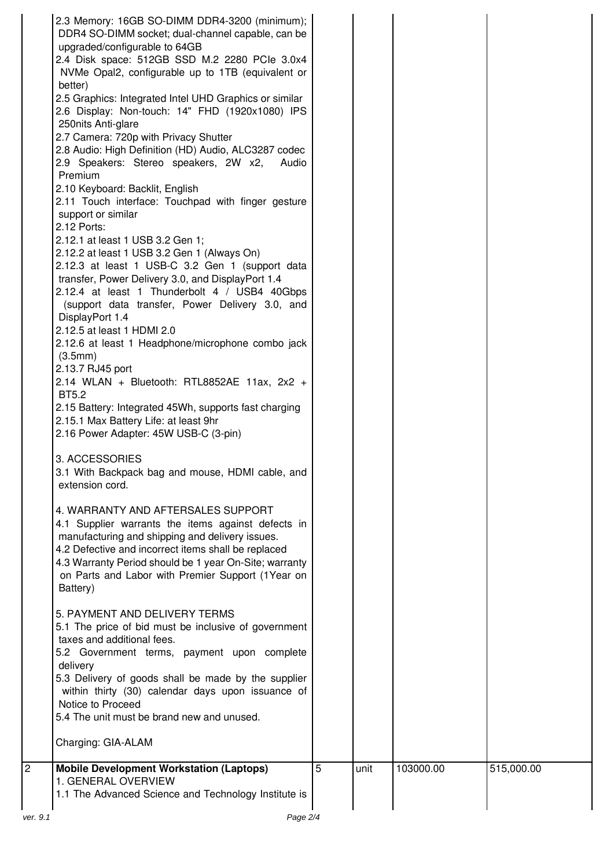| 2.3 Memory: 16GB SO-DIMM DDR4-3200 (minimum);<br>DDR4 SO-DIMM socket; dual-channel capable, can be<br>upgraded/configurable to 64GB<br>2.4 Disk space: 512GB SSD M.2 2280 PCle 3.0x4<br>NVMe Opal2, configurable up to 1TB (equivalent or<br>better)<br>2.5 Graphics: Integrated Intel UHD Graphics or similar<br>2.6 Display: Non-touch: 14" FHD (1920x1080) IPS<br>250nits Anti-glare<br>2.7 Camera: 720p with Privacy Shutter<br>2.8 Audio: High Definition (HD) Audio, ALC3287 codec<br>2.9 Speakers: Stereo speakers, 2W x2, Audio<br>Premium<br>2.10 Keyboard: Backlit, English<br>2.11 Touch interface: Touchpad with finger gesture<br>support or similar<br>2.12 Ports:<br>2.12.1 at least 1 USB 3.2 Gen 1;<br>2.12.2 at least 1 USB 3.2 Gen 1 (Always On)<br>2.12.3 at least 1 USB-C 3.2 Gen 1 (support data<br>transfer, Power Delivery 3.0, and DisplayPort 1.4<br>2.12.4 at least 1 Thunderbolt 4 / USB4 40Gbps<br>(support data transfer, Power Delivery 3.0, and<br>DisplayPort 1.4<br>2.12.5 at least 1 HDMI 2.0<br>2.12.6 at least 1 Headphone/microphone combo jack<br>(3.5mm)<br>2.13.7 RJ45 port<br>2.14 WLAN + Bluetooth: RTL8852AE 11ax, $2x^2$ +<br><b>BT5.2</b><br>2.15 Battery: Integrated 45Wh, supports fast charging<br>2.15.1 Max Battery Life: at least 9hr<br>2.16 Power Adapter: 45W USB-C (3-pin)<br>3. ACCESSORIES<br>3.1 With Backpack bag and mouse, HDMI cable, and<br>extension cord. |   |      |           |            |
|-----------------------------------------------------------------------------------------------------------------------------------------------------------------------------------------------------------------------------------------------------------------------------------------------------------------------------------------------------------------------------------------------------------------------------------------------------------------------------------------------------------------------------------------------------------------------------------------------------------------------------------------------------------------------------------------------------------------------------------------------------------------------------------------------------------------------------------------------------------------------------------------------------------------------------------------------------------------------------------------------------------------------------------------------------------------------------------------------------------------------------------------------------------------------------------------------------------------------------------------------------------------------------------------------------------------------------------------------------------------------------------------------------------------------------|---|------|-----------|------------|
| 4. WARRANTY AND AFTERSALES SUPPORT<br>4.1 Supplier warrants the items against defects in<br>manufacturing and shipping and delivery issues.<br>4.2 Defective and incorrect items shall be replaced<br>4.3 Warranty Period should be 1 year On-Site; warranty<br>on Parts and Labor with Premier Support (1Year on<br>Battery)                                                                                                                                                                                                                                                                                                                                                                                                                                                                                                                                                                                                                                                                                                                                                                                                                                                                                                                                                                                                                                                                                               |   |      |           |            |
| 5. PAYMENT AND DELIVERY TERMS<br>5.1 The price of bid must be inclusive of government<br>taxes and additional fees.<br>5.2 Government terms, payment upon complete<br>delivery<br>5.3 Delivery of goods shall be made by the supplier<br>within thirty (30) calendar days upon issuance of<br>Notice to Proceed<br>5.4 The unit must be brand new and unused.<br>Charging: GIA-ALAM                                                                                                                                                                                                                                                                                                                                                                                                                                                                                                                                                                                                                                                                                                                                                                                                                                                                                                                                                                                                                                         |   |      |           |            |
| <b>Mobile Development Workstation (Laptops)</b><br>1. GENERAL OVERVIEW                                                                                                                                                                                                                                                                                                                                                                                                                                                                                                                                                                                                                                                                                                                                                                                                                                                                                                                                                                                                                                                                                                                                                                                                                                                                                                                                                      | 5 | unit | 103000.00 | 515,000.00 |
| 1.1 The Advanced Science and Technology Institute is                                                                                                                                                                                                                                                                                                                                                                                                                                                                                                                                                                                                                                                                                                                                                                                                                                                                                                                                                                                                                                                                                                                                                                                                                                                                                                                                                                        |   |      |           |            |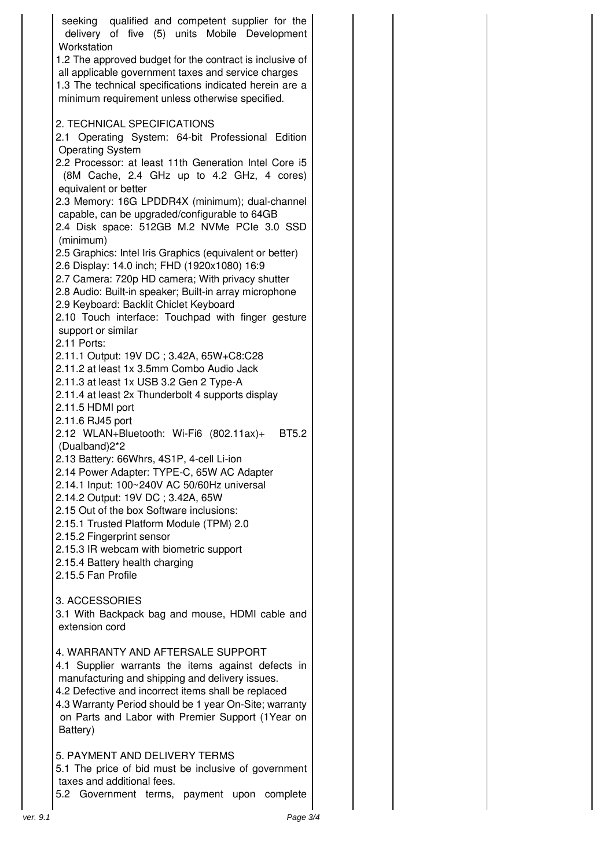| Workstation | seeking qualified and competent supplier for the<br>delivery of five (5) units Mobile Development                                                                                                                                                                                                                            |  |  |              |  |  |
|-------------|------------------------------------------------------------------------------------------------------------------------------------------------------------------------------------------------------------------------------------------------------------------------------------------------------------------------------|--|--|--------------|--|--|
|             | 1.2 The approved budget for the contract is inclusive of<br>all applicable government taxes and service charges<br>1.3 The technical specifications indicated herein are a<br>minimum requirement unless otherwise specified.                                                                                                |  |  |              |  |  |
|             | 2. TECHNICAL SPECIFICATIONS<br>2.1 Operating System: 64-bit Professional Edition<br><b>Operating System</b>                                                                                                                                                                                                                  |  |  |              |  |  |
|             | 2.2 Processor: at least 11th Generation Intel Core i5<br>(8M Cache, 2.4 GHz up to 4.2 GHz, 4 cores)<br>equivalent or better                                                                                                                                                                                                  |  |  |              |  |  |
|             | 2.3 Memory: 16G LPDDR4X (minimum); dual-channel<br>capable, can be upgraded/configurable to 64GB<br>2.4 Disk space: 512GB M.2 NVMe PCIe 3.0 SSD                                                                                                                                                                              |  |  |              |  |  |
| (minimum)   | 2.5 Graphics: Intel Iris Graphics (equivalent or better)<br>2.6 Display: 14.0 inch; FHD (1920x1080) 16:9                                                                                                                                                                                                                     |  |  |              |  |  |
|             | 2.7 Camera: 720p HD camera; With privacy shutter<br>2.8 Audio: Built-in speaker; Built-in array microphone<br>2.9 Keyboard: Backlit Chiclet Keyboard<br>2.10 Touch interface: Touchpad with finger gesture                                                                                                                   |  |  |              |  |  |
| 2.11 Ports: | support or similar<br>2.11.1 Output: 19V DC; 3.42A, 65W+C8:C28                                                                                                                                                                                                                                                               |  |  |              |  |  |
|             | 2.11.2 at least 1x 3.5mm Combo Audio Jack<br>2.11.3 at least 1x USB 3.2 Gen 2 Type-A<br>2.11.4 at least 2x Thunderbolt 4 supports display                                                                                                                                                                                    |  |  |              |  |  |
|             | 2.11.5 HDMI port<br>2.11.6 RJ45 port<br>2.12 WLAN+Bluetooth: Wi-Fi6 (802.11ax)+<br>(Dualband)2*2                                                                                                                                                                                                                             |  |  | <b>BT5.2</b> |  |  |
|             | 2.13 Battery: 66Whrs, 4S1P, 4-cell Li-ion<br>2.14 Power Adapter: TYPE-C, 65W AC Adapter<br>2.14.1 Input: 100~240V AC 50/60Hz universal<br>2.14.2 Output: 19V DC; 3.42A, 65W                                                                                                                                                  |  |  |              |  |  |
|             | 2.15 Out of the box Software inclusions:<br>2.15.1 Trusted Platform Module (TPM) 2.0<br>2.15.2 Fingerprint sensor<br>2.15.3 IR webcam with biometric support                                                                                                                                                                 |  |  |              |  |  |
|             | 2.15.4 Battery health charging<br>2.15.5 Fan Profile                                                                                                                                                                                                                                                                         |  |  |              |  |  |
|             | 3. ACCESSORIES<br>3.1 With Backpack bag and mouse, HDMI cable and<br>extension cord                                                                                                                                                                                                                                          |  |  |              |  |  |
|             | 4. WARRANTY AND AFTERSALE SUPPORT<br>4.1 Supplier warrants the items against defects in<br>manufacturing and shipping and delivery issues.<br>4.2 Defective and incorrect items shall be replaced<br>4.3 Warranty Period should be 1 year On-Site; warranty<br>on Parts and Labor with Premier Support (1Year on<br>Battery) |  |  |              |  |  |
|             | 5. PAYMENT AND DELIVERY TERMS<br>5.1 The price of bid must be inclusive of government<br>taxes and additional fees.<br>5.2 Government terms, payment upon complete                                                                                                                                                           |  |  |              |  |  |
| ver. 9.1    |                                                                                                                                                                                                                                                                                                                              |  |  | Page 3/4     |  |  |